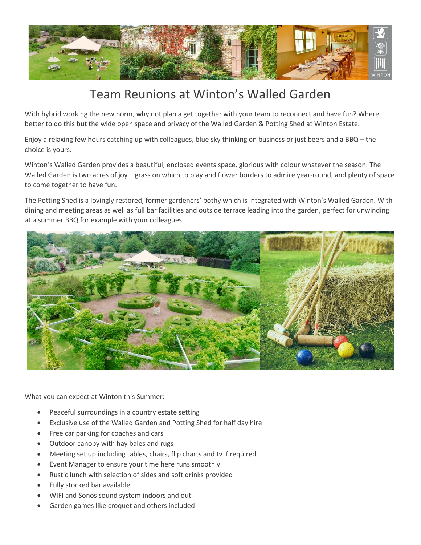

## Team Reunions at Winton's Walled Garden

With hybrid working the new norm, why not plan a get together with your team to reconnect and have fun? Where better to do this but the wide open space and privacy of the Walled Garden & Potting Shed at Winton Estate.

Enjoy a relaxing few hours catching up with colleagues, blue sky thinking on business or just beers and a BBQ – the choice is yours.

Winton's Walled Garden provides a beautiful, enclosed events space, glorious with colour whatever the season. The Walled Garden is two acres of joy – grass on which to play and flower borders to admire year-round, and plenty of space to come together to have fun.

The Potting Shed is a lovingly restored, former gardeners' bothy which is integrated with Winton's Walled Garden. With dining and meeting areas as well as full bar facilities and outside terrace leading into the garden, perfect for unwinding at a summer BBQ for example with your colleagues.



What you can expect at Winton this Summer:

- Peaceful surroundings in a country estate setting
- Exclusive use of the Walled Garden and Potting Shed for half day hire
- Free car parking for coaches and cars
- Outdoor canopy with hay bales and rugs
- Meeting set up including tables, chairs, flip charts and tv if required
- Event Manager to ensure your time here runs smoothly
- Rustic lunch with selection of sides and soft drinks provided
- Fully stocked bar available
- WIFI and Sonos sound system indoors and out
- Garden games like croquet and others included